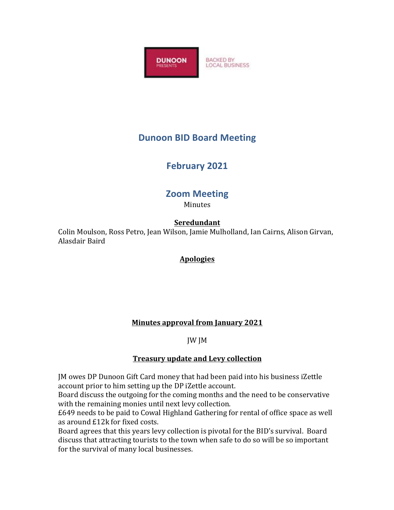

## **Dunoon BID Board Meeting**

# **February 2021**

# **Zoom Meeting**

**Minutes** 

## **Seredundant**

Colin Moulson, Ross Petro, Jean Wilson, Jamie Mulholland, Ian Cairns, Alison Girvan, Alasdair Baird

## **Apologies**

### **Minutes approval from January 2021**

JW JM 

### **Treasury update and Levy collection**

IM owes DP Dunoon Gift Card money that had been paid into his business iZettle account prior to him setting up the DP iZettle account.

Board discuss the outgoing for the coming months and the need to be conservative with the remaining monies until next levy collection.

£649 needs to be paid to Cowal Highland Gathering for rental of office space as well as around £12k for fixed costs.

Board agrees that this years levy collection is pivotal for the BID's survival. Board discuss that attracting tourists to the town when safe to do so will be so important for the survival of many local businesses.